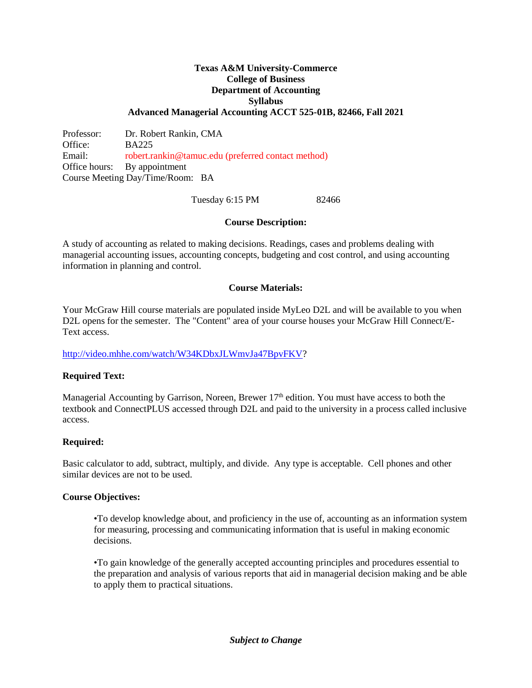## **Texas A&M University-Commerce College of Business Department of Accounting Syllabus Advanced Managerial Accounting ACCT 525-01B, 82466, Fall 2021**

Professor: Dr. Robert Rankin, CMA Office: BA225 Email: robert.rankin@tamuc.edu (preferred contact method) Office hours: By appointment Course Meeting Day/Time/Room: BA

#### Tuesday 6:15 PM 82466

### **Course Description:**

A study of accounting as related to making decisions. Readings, cases and problems dealing with managerial accounting issues, accounting concepts, budgeting and cost control, and using accounting information in planning and control.

#### **Course Materials:**

Your McGraw Hill course materials are populated inside MyLeo D2L and will be available to you when D2L opens for the semester. The "Content" area of your course houses your McGraw Hill Connect/E-Text access.

[http://video.mhhe.com/watch/W34KDbxJLWmvJa47BpvFKV?](http://video.mhhe.com/watch/W34KDbxJLWmvJa47BpvFKV)

## **Required Text:**

Managerial Accounting by Garrison, Noreen, Brewer 17<sup>th</sup> edition. You must have access to both the textbook and ConnectPLUS accessed through D2L and paid to the university in a process called inclusive access.

## **Required:**

Basic calculator to add, subtract, multiply, and divide. Any type is acceptable. Cell phones and other similar devices are not to be used.

#### **Course Objectives:**

•To develop knowledge about, and proficiency in the use of, accounting as an information system for measuring, processing and communicating information that is useful in making economic decisions.

•To gain knowledge of the generally accepted accounting principles and procedures essential to the preparation and analysis of various reports that aid in managerial decision making and be able to apply them to practical situations.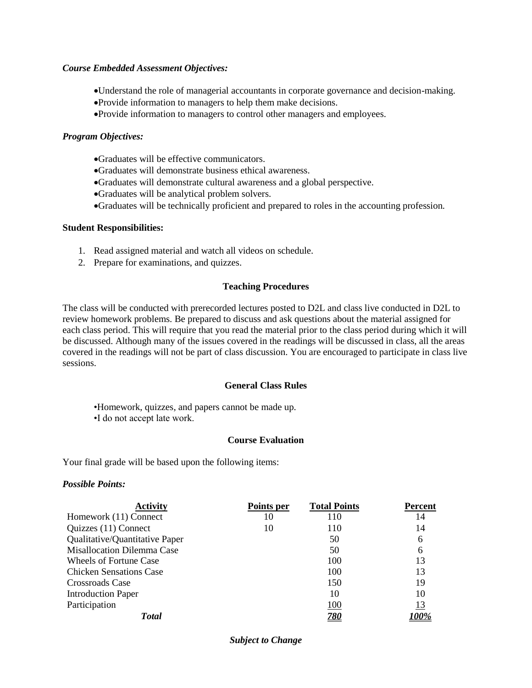#### *Course Embedded Assessment Objectives:*

- Understand the role of managerial accountants in corporate governance and decision-making.
- Provide information to managers to help them make decisions.
- Provide information to managers to control other managers and employees.

### *Program Objectives:*

- Graduates will be effective communicators.
- Graduates will demonstrate business ethical awareness.
- Graduates will demonstrate cultural awareness and a global perspective.
- Graduates will be analytical problem solvers.
- Graduates will be technically proficient and prepared to roles in the accounting profession.

#### **Student Responsibilities:**

- 1. Read assigned material and watch all videos on schedule.
- 2. Prepare for examinations, and quizzes.

### **Teaching Procedures**

The class will be conducted with prerecorded lectures posted to D2L and class live conducted in D2L to review homework problems. Be prepared to discuss and ask questions about the material assigned for each class period. This will require that you read the material prior to the class period during which it will be discussed. Although many of the issues covered in the readings will be discussed in class, all the areas covered in the readings will not be part of class discussion. You are encouraged to participate in class live sessions.

#### **General Class Rules**

•Homework, quizzes, and papers cannot be made up.

•I do not accept late work.

#### **Course Evaluation**

Your final grade will be based upon the following items:

#### *Possible Points:*

| <b>Activity</b>                   | Points per | <b>Total Points</b> | <b>Percent</b> |
|-----------------------------------|------------|---------------------|----------------|
| Homework (11) Connect             | 10         | 110                 | 14             |
| Quizzes (11) Connect              | 10         | 110                 | 14             |
| Qualitative/Quantitative Paper    |            | 50                  | 6              |
| <b>Misallocation Dilemma Case</b> |            | 50                  | 6              |
| Wheels of Fortune Case            |            | 100                 | 13             |
| <b>Chicken Sensations Case</b>    |            | 100                 | 13             |
| Crossroads Case                   |            | 150                 | 19             |
| <b>Introduction Paper</b>         |            | 10                  | 10             |
| Participation                     |            | <u>100</u>          | <u>13</u>      |
| <b>Total</b>                      |            | <u>780</u>          |                |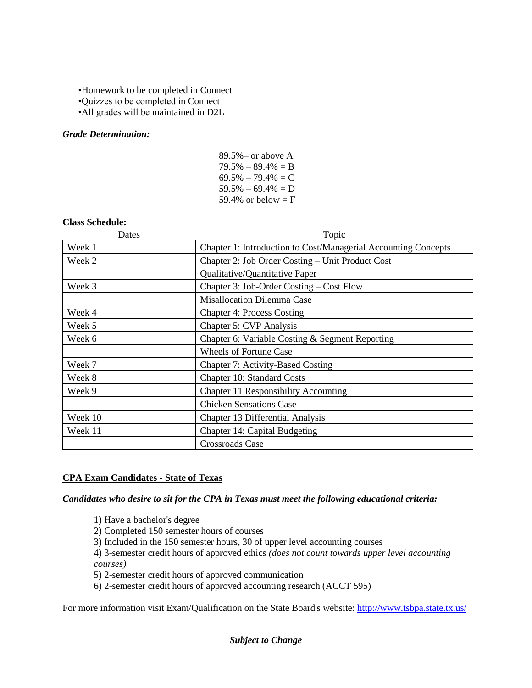# •Homework to be completed in Connect •Quizzes to be completed in Connect

•All grades will be maintained in D2L

# *Grade Determination:*

| $89.5\%$ – or above A |
|-----------------------|
| $79.5\% - 89.4\% = B$ |
| $69.5\% - 79.4\% = C$ |
| $59.5\% - 69.4\% = D$ |
| 59.4% or below = $F$  |
|                       |

### **Class Schedule:**

| Dates   | <b>Topic</b>                                                   |  |
|---------|----------------------------------------------------------------|--|
| Week 1  | Chapter 1: Introduction to Cost/Managerial Accounting Concepts |  |
| Week 2  | Chapter 2: Job Order Costing – Unit Product Cost               |  |
|         | Qualitative/Quantitative Paper                                 |  |
| Week 3  | Chapter 3: Job-Order Costing – Cost Flow                       |  |
|         | <b>Misallocation Dilemma Case</b>                              |  |
| Week 4  | <b>Chapter 4: Process Costing</b>                              |  |
| Week 5  | Chapter 5: CVP Analysis                                        |  |
| Week 6  | Chapter 6: Variable Costing & Segment Reporting                |  |
|         | <b>Wheels of Fortune Case</b>                                  |  |
| Week 7  | Chapter 7: Activity-Based Costing                              |  |
| Week 8  | Chapter 10: Standard Costs                                     |  |
| Week 9  | Chapter 11 Responsibility Accounting                           |  |
|         | <b>Chicken Sensations Case</b>                                 |  |
| Week 10 | Chapter 13 Differential Analysis                               |  |
| Week 11 | Chapter 14: Capital Budgeting                                  |  |
|         | Crossroads Case                                                |  |

## **CPA Exam Candidates - State of Texas**

*Candidates who desire to sit for the CPA in Texas must meet the following educational criteria:* 

1) Have a bachelor's degree

2) Completed 150 semester hours of courses

3) Included in the 150 semester hours, 30 of upper level accounting courses

4) 3-semester credit hours of approved ethics *(does not count towards upper level accounting courses)*

5) 2-semester credit hours of approved communication

6) 2-semester credit hours of approved accounting research (ACCT 595)

For more information visit Exam/Qualification on the State Board's website:<http://www.tsbpa.state.tx.us/>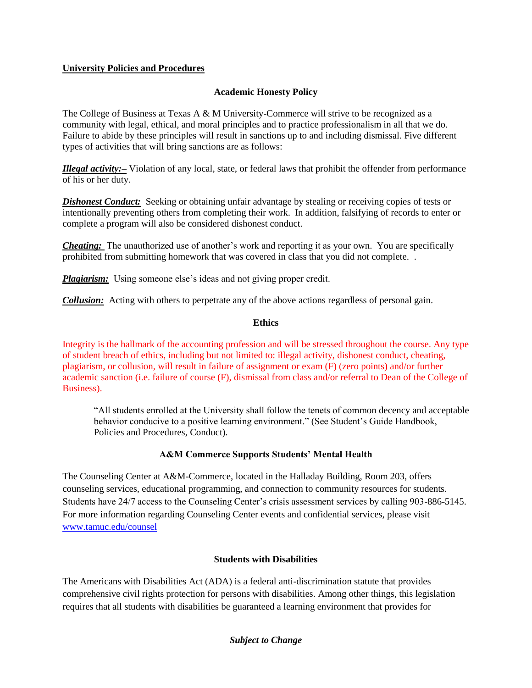# **University Policies and Procedures**

## **Academic Honesty Policy**

The College of Business at Texas A  $\&$  M University-Commerce will strive to be recognized as a community with legal, ethical, and moral principles and to practice professionalism in all that we do. Failure to abide by these principles will result in sanctions up to and including dismissal. Five different types of activities that will bring sanctions are as follows:

*Illegal activity:–* Violation of any local, state, or federal laws that prohibit the offender from performance of his or her duty.

*Dishonest Conduct:* Seeking or obtaining unfair advantage by stealing or receiving copies of tests or intentionally preventing others from completing their work. In addition, falsifying of records to enter or complete a program will also be considered dishonest conduct.

*Cheating:* The unauthorized use of another's work and reporting it as your own. You are specifically prohibited from submitting homework that was covered in class that you did not complete. .

*Plagiarism:* Using someone else's ideas and not giving proper credit.

*Collusion:* Acting with others to perpetrate any of the above actions regardless of personal gain.

## **Ethics**

Integrity is the hallmark of the accounting profession and will be stressed throughout the course. Any type of student breach of ethics, including but not limited to: illegal activity, dishonest conduct, cheating, plagiarism, or collusion, will result in failure of assignment or exam (F) (zero points) and/or further academic sanction (i.e. failure of course (F), dismissal from class and/or referral to Dean of the College of Business).

"All students enrolled at the University shall follow the tenets of common decency and acceptable behavior conducive to a positive learning environment." (See Student's Guide Handbook, Policies and Procedures, Conduct).

# **A&M Commerce Supports Students' Mental Health**

The Counseling Center at A&M-Commerce, located in the Halladay Building, Room 203, offers counseling services, educational programming, and connection to community resources for students. Students have 24/7 access to the Counseling Center's crisis assessment services by calling 903-886-5145. For more information regarding Counseling Center events and confidential services, please visit [www.tamuc.edu/counsel](http://www.tamuc.edu/counsel)

# **Students with Disabilities**

The Americans with Disabilities Act (ADA) is a federal anti-discrimination statute that provides comprehensive civil rights protection for persons with disabilities. Among other things, this legislation requires that all students with disabilities be guaranteed a learning environment that provides for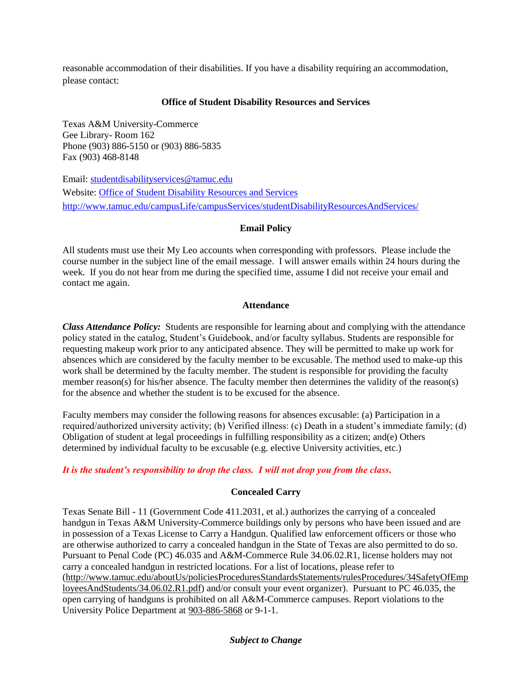reasonable accommodation of their disabilities. If you have a disability requiring an accommodation, please contact:

# **Office of Student Disability Resources and Services**

Texas A&M University-Commerce Gee Library- Room 162 Phone (903) 886-5150 or (903) 886-5835 Fax (903) 468-8148

Email: [studentdisabilityservices@tamuc.edu](mailto:studentdisabilityservices@tamuc.edu) Website: [Office of Student Disability Resources and Services](http://www.tamuc.edu/campusLife/campusServices/studentDisabilityResourcesAndServices/) <http://www.tamuc.edu/campusLife/campusServices/studentDisabilityResourcesAndServices/>

## **Email Policy**

All students must use their My Leo accounts when corresponding with professors. Please include the course number in the subject line of the email message. I will answer emails within 24 hours during the week. If you do not hear from me during the specified time, assume I did not receive your email and contact me again.

## **Attendance**

*Class Attendance Policy:* Students are responsible for learning about and complying with the attendance policy stated in the catalog, Student's Guidebook, and/or faculty syllabus. Students are responsible for requesting makeup work prior to any anticipated absence. They will be permitted to make up work for absences which are considered by the faculty member to be excusable. The method used to make-up this work shall be determined by the faculty member. The student is responsible for providing the faculty member reason(s) for his/her absence. The faculty member then determines the validity of the reason(s) for the absence and whether the student is to be excused for the absence.

Faculty members may consider the following reasons for absences excusable: (a) Participation in a required/authorized university activity; (b) Verified illness: (c) Death in a student's immediate family; (d) Obligation of student at legal proceedings in fulfilling responsibility as a citizen; and(e) Others determined by individual faculty to be excusable (e.g. elective University activities, etc.)

# *It is the student's responsibility to drop the class. I will not drop you from the class.*

# **Concealed Carry**

Texas Senate Bill - 11 (Government Code 411.2031, et al.) authorizes the carrying of a concealed handgun in Texas A&M University-Commerce buildings only by persons who have been issued and are in possession of a Texas License to Carry a Handgun. Qualified law enforcement officers or those who are otherwise authorized to carry a concealed handgun in the State of Texas are also permitted to do so. Pursuant to Penal Code (PC) 46.035 and A&M-Commerce Rule 34.06.02.R1, license holders may not carry a concealed handgun in restricted locations. For a list of locations, please refer to [\(http://www.tamuc.edu/aboutUs/policiesProceduresStandardsStatements/rulesProcedures/34SafetyOfEmp](http://www.tamuc.edu/aboutUs/policiesProceduresStandardsStatements/rulesProcedures/34SafetyOfEmployeesAndStudents/34.06.02.R1.pdf) [loyeesAndStudents/34.06.02.R1.pdf\)](http://www.tamuc.edu/aboutUs/policiesProceduresStandardsStatements/rulesProcedures/34SafetyOfEmployeesAndStudents/34.06.02.R1.pdf) and/or consult your event organizer). Pursuant to PC 46.035, the open carrying of handguns is prohibited on all A&M-Commerce campuses. Report violations to the University Police Department at [903-886-5868](tel:903-886-5868) or 9-1-1.